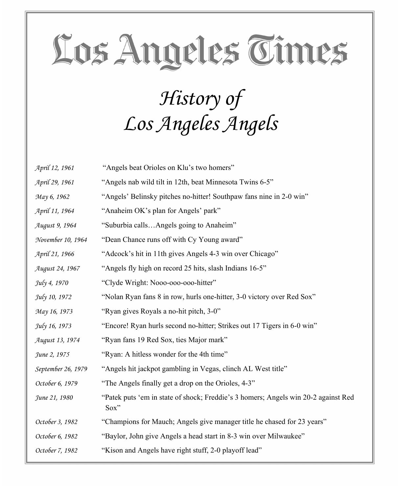#### *History of Los Angeles Angels*

| April 12, 1961     | "Angels beat Orioles on Klu's two homers"                                                     |
|--------------------|-----------------------------------------------------------------------------------------------|
| April 29, 1961     | "Angels nab wild tilt in 12th, beat Minnesota Twins 6-5"                                      |
| May 6, 1962        | "Angels' Belinsky pitches no-hitter! Southpaw fans nine in 2-0 win"                           |
| April 11, 1964     | "Anaheim OK's plan for Angels' park"                                                          |
| August 9, 1964     | "Suburbia callsAngels going to Anaheim"                                                       |
| November 10, 1964  | "Dean Chance runs off with Cy Young award"                                                    |
| April 21, 1966     | "Adcock's hit in 11th gives Angels 4-3 win over Chicago"                                      |
| August 24, 1967    | "Angels fly high on record 25 hits, slash Indians 16-5"                                       |
| July 4, 1970       | "Clyde Wright: Nooo-ooo-ooo-hitter"                                                           |
| July 10, 1972      | "Nolan Ryan fans 8 in row, hurls one-hitter, 3-0 victory over Red Sox"                        |
| May 16, 1973       | "Ryan gives Royals a no-hit pitch, 3-0"                                                       |
| July 16, 1973      | "Encore! Ryan hurls second no-hitter; Strikes out 17 Tigers in 6-0 win"                       |
| August 13, 1974    | "Ryan fans 19 Red Sox, ties Major mark"                                                       |
| June 2, 1975       | "Ryan: A hitless wonder for the 4th time"                                                     |
| September 26, 1979 | "Angels hit jackpot gambling in Vegas, clinch AL West title"                                  |
| October 6, 1979    | "The Angels finally get a drop on the Orioles, 4-3"                                           |
| June 21, 1980      | "Patek puts 'em in state of shock; Freddie's 3 homers; Angels win 20-2 against Red<br>$Sox$ " |
| October 3, 1982    | "Champions for Mauch; Angels give manager title he chased for 23 years"                       |
| October 6, 1982    | "Baylor, John give Angels a head start in 8-3 win over Milwaukee"                             |
| October 7, 1982    | "Kison and Angels have right stuff, 2-0 playoff lead"                                         |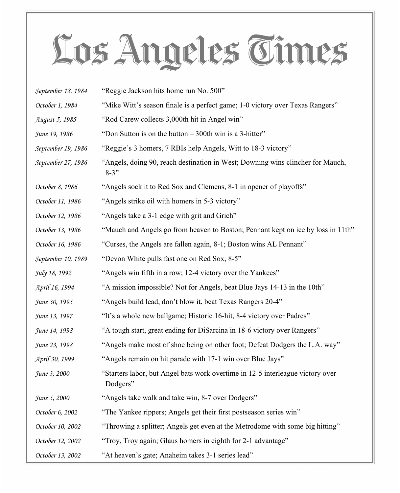| September 18, 1984 | "Reggie Jackson hits home run No. 500"                                                      |
|--------------------|---------------------------------------------------------------------------------------------|
| October 1, 1984    | "Mike Witt's season finale is a perfect game; 1-0 victory over Texas Rangers"               |
| August 5, 1985     | "Rod Carew collects 3,000th hit in Angel win"                                               |
| June 19, 1986      | "Don Sutton is on the button $-300$ th win is a 3-hitter"                                   |
| September 19, 1986 | "Reggie's 3 homers, 7 RBIs help Angels, Witt to 18-3 victory"                               |
| September 27, 1986 | "Angels, doing 90, reach destination in West; Downing wins clincher for Mauch,<br>$8 - 3$ " |
| October 8, 1986    | "Angels sock it to Red Sox and Clemens, 8-1 in opener of playoffs"                          |
| October 11, 1986   | "Angels strike oil with homers in 5-3 victory"                                              |
| October 12, 1986   | "Angels take a 3-1 edge with grit and Grich"                                                |
| October 13, 1986   | "Mauch and Angels go from heaven to Boston; Pennant kept on ice by loss in 11th"            |
| October 16, 1986   | "Curses, the Angels are fallen again, 8-1; Boston wins AL Pennant"                          |
| September 10, 1989 | "Devon White pulls fast one on Red Sox, 8-5"                                                |
| July 18, 1992      | "Angels win fifth in a row; 12-4 victory over the Yankees"                                  |
| April 16, 1994     | "A mission impossible? Not for Angels, beat Blue Jays 14-13 in the 10th"                    |
| June 30, 1995      | "Angels build lead, don't blow it, beat Texas Rangers 20-4"                                 |
| June 13, 1997      | "It's a whole new ballgame; Historic 16-hit, 8-4 victory over Padres"                       |
| June 14, 1998      | "A tough start, great ending for DiSarcina in 18-6 victory over Rangers"                    |
| June 23, 1998      | "Angels make most of shoe being on other foot; Defeat Dodgers the L.A. way"                 |
| April 30, 1999     | "Angels remain on hit parade with 17-1 win over Blue Jays"                                  |
| June 3, 2000       | "Starters labor, but Angel bats work overtime in 12-5 interleague victory over<br>Dodgers"  |
| June 5, 2000       | "Angels take walk and take win, 8-7 over Dodgers"                                           |
| October 6, 2002    | "The Yankee rippers; Angels get their first postseason series win"                          |
| October 10, 2002   | "Throwing a splitter; Angels get even at the Metrodome with some big hitting"               |
| October 12, 2002   | "Troy, Troy again; Glaus homers in eighth for 2-1 advantage"                                |
| October 13, 2002   | "At heaven's gate; Anaheim takes 3-1 series lead"                                           |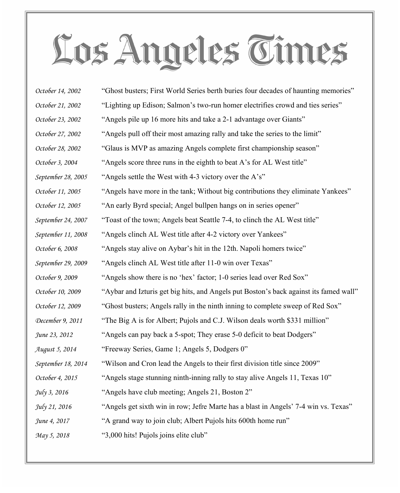| October 14, 2002   | "Ghost busters; First World Series berth buries four decades of haunting memories"    |
|--------------------|---------------------------------------------------------------------------------------|
| October 21, 2002   | "Lighting up Edison; Salmon's two-run homer electrifies crowd and ties series"        |
| October 23, 2002   | "Angels pile up 16 more hits and take a 2-1 advantage over Giants"                    |
| October 27, 2002   | "Angels pull off their most amazing rally and take the series to the limit"           |
| October 28, 2002   | "Glaus is MVP as amazing Angels complete first championship season"                   |
| October 3, 2004    | "Angels score three runs in the eighth to beat A's for AL West title"                 |
| September 28, 2005 | "Angels settle the West with 4-3 victory over the A's"                                |
| October 11, 2005   | "Angels have more in the tank; Without big contributions they eliminate Yankees"      |
| October 12, 2005   | "An early Byrd special; Angel bullpen hangs on in series opener"                      |
| September 24, 2007 | "Toast of the town; Angels beat Seattle 7-4, to clinch the AL West title"             |
| September 11, 2008 | "Angels clinch AL West title after 4-2 victory over Yankees"                          |
| October 6, 2008    | "Angels stay alive on Aybar's hit in the 12th. Napoli homers twice"                   |
| September 29, 2009 | "Angels clinch AL West title after 11-0 win over Texas"                               |
| October 9, 2009    | "Angels show there is no 'hex' factor; 1-0 series lead over Red Sox"                  |
| October 10, 2009   | "Aybar and Izturis get big hits, and Angels put Boston's back against its famed wall" |
| October 12, 2009   | "Ghost busters; Angels rally in the ninth inning to complete sweep of Red Sox"        |
| December 9, 2011   | "The Big A is for Albert; Pujols and C.J. Wilson deals worth \$331 million"           |
| June 23, 2012      | "Angels can pay back a 5-spot; They erase 5-0 deficit to beat Dodgers"                |
| August 5, 2014     | "Freeway Series, Game 1; Angels 5, Dodgers 0"                                         |
| September 18, 2014 | "Wilson and Cron lead the Angels to their first division title since 2009"            |
| October 4, 2015    | "Angels stage stunning ninth-inning rally to stay alive Angels 11, Texas 10"          |
| July 3, 2016       | "Angels have club meeting; Angels 21, Boston 2"                                       |
| July 21, 2016      | "Angels get sixth win in row; Jefre Marte has a blast in Angels' 7-4 win vs. Texas"   |
| June 4, 2017       | "A grand way to join club; Albert Pujols hits 600th home run"                         |
| May 5, 2018        | "3,000 hits! Pujols joins elite club"                                                 |